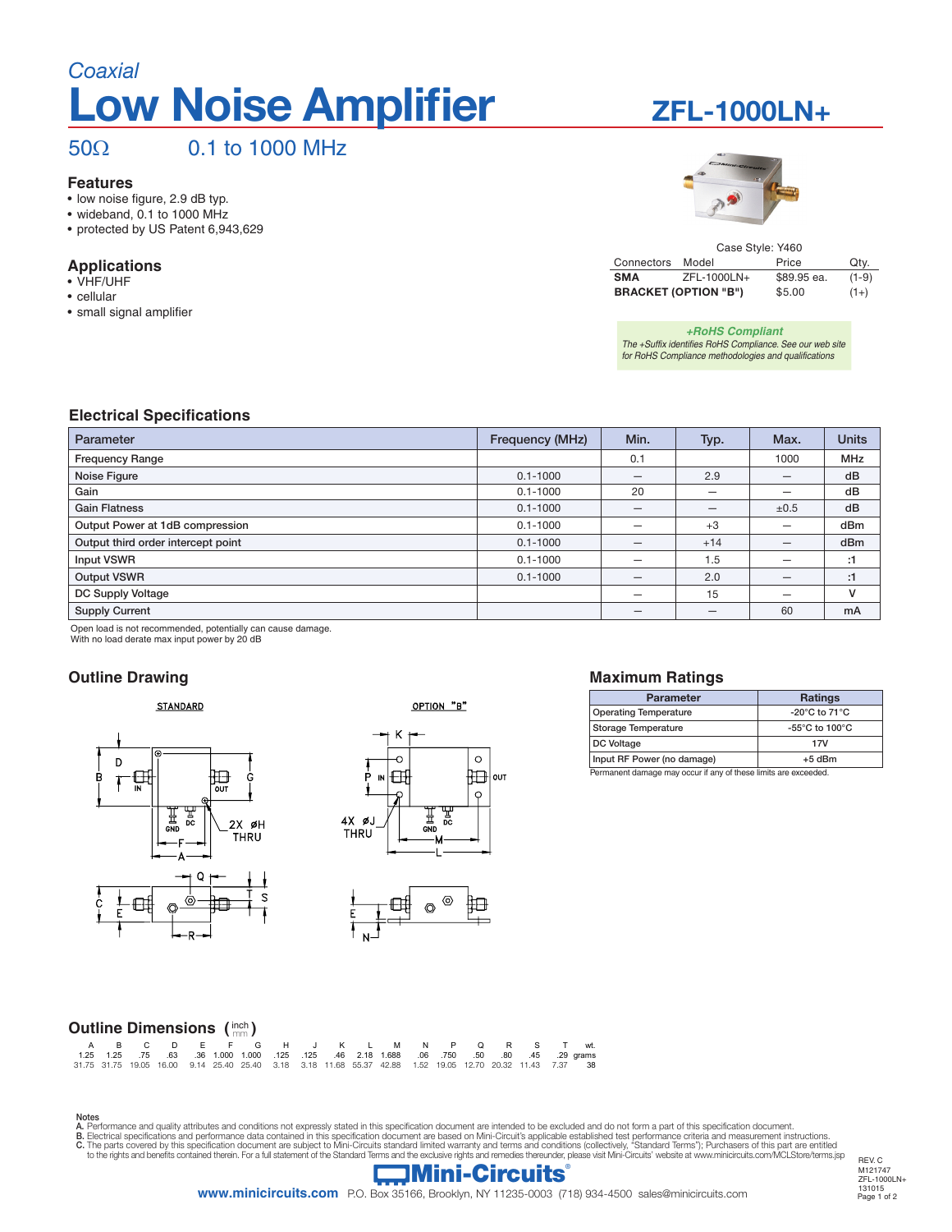# **Low Noise Amplifier** *Coaxial*

## 50Ω 0.1 to 1000 MHz

### **Features**

- • low noise figure, 2.9 dB typ.
- • wideband, 0.1 to 1000 MHz • protected by US Patent 6,943,629

### **Applications**

- • VHF/UHF
- • cellular
- • small signal amplifier

## **ZFL-1000LN+**



| Case Style: Y460 |                             |             |         |  |  |  |  |  |
|------------------|-----------------------------|-------------|---------|--|--|--|--|--|
| Connectors       | Model                       | Price       | Qty.    |  |  |  |  |  |
| <b>SMA</b>       | ZFL-1000LN+                 | \$89.95 ea. | $(1-9)$ |  |  |  |  |  |
|                  | <b>BRACKET (OPTION "B")</b> | \$5.00      | $(1+)$  |  |  |  |  |  |

*+RoHS Compliant The +Suffix identifies RoHS Compliance. See our web site for RoHS Compliance methodologies and qualifications*

### **Electrical Specifications**

| Parameter                          | Frequency (MHz) | Min.                     | Typ.                     | Max. | <b>Units</b> |
|------------------------------------|-----------------|--------------------------|--------------------------|------|--------------|
| <b>Frequency Range</b>             |                 | 0.1                      |                          | 1000 | <b>MHz</b>   |
| Noise Figure                       | $0.1 - 1000$    |                          | 2.9                      | –    | dB           |
| Gain                               | $0.1 - 1000$    | 20                       | -                        |      | dB           |
| <b>Gain Flatness</b>               | $0.1 - 1000$    | $\overline{\phantom{m}}$ | $\overline{\phantom{m}}$ | ±0.5 | dB           |
| Output Power at 1dB compression    | $0.1 - 1000$    |                          | $+3$                     |      | dBm          |
| Output third order intercept point | $0.1 - 1000$    |                          | $+14$                    |      | dBm          |
| Input VSWR                         | $0.1 - 1000$    | -                        | 1.5                      | -    | :1           |
| <b>Output VSWR</b>                 | $0.1 - 1000$    | $\overline{\phantom{m}}$ | 2.0                      |      | :1           |
| DC Supply Voltage                  |                 | $\overline{\phantom{0}}$ | 15                       | -    | v            |
| <b>Supply Current</b>              |                 | –                        |                          | 60   | <b>mA</b>    |

Open load is not recommended, potentially can cause damage.

## With no load derate max input power by 20 dB

## **Outline Drawing**



### OPTION "B"





#### **Maximum Ratings**

| <b>Parameter</b>                                              | <b>Ratings</b>                                       |  |  |  |  |
|---------------------------------------------------------------|------------------------------------------------------|--|--|--|--|
| <b>Operating Temperature</b>                                  | $-20^{\circ}$ C to 71 $^{\circ}$ C                   |  |  |  |  |
| <b>Storage Temperature</b>                                    | -55 $\mathrm{^{\circ}C}$ to 100 $\mathrm{^{\circ}C}$ |  |  |  |  |
| DC Voltage                                                    | 17V                                                  |  |  |  |  |
| Input RF Power (no damage)                                    | $+5$ dBm                                             |  |  |  |  |
| Demonded demons mou coour if ony of these limits are overaded |                                                      |  |  |  |  |

Permanent damage may occur if any of these limits are exce

| Outline Dimensions $(\begin{smallmatrix} \text{inch} \\ \text{mm} \end{smallmatrix})$ |  |  |  |  |  |                                                        |  |
|---------------------------------------------------------------------------------------|--|--|--|--|--|--------------------------------------------------------|--|
|                                                                                       |  |  |  |  |  | A B C D E F G H J K L M N                              |  |
|                                                                                       |  |  |  |  |  | A OF A OF THE OO OO A OOO A OOO AOF AOF AO OAO AOOO OO |  |

|  |  |  | A B C D E F G H J K L M N P Q R S T wt.                                                                   |  |  |  |  |  |  |
|--|--|--|-----------------------------------------------------------------------------------------------------------|--|--|--|--|--|--|
|  |  |  | 29 qrams (29 qrams) 1.25 (1.000 1.000 1.25 (1.25 (1.000 1.25 (1.25 (1.000 1.000 1.25 (1.25 1.25 1.25      |  |  |  |  |  |  |
|  |  |  | 31.75 31.75 19.05 16.00 9.14 25.40 25.40 3.18 3.18 11.68 55.37 42.88 1.52 19.05 12.70 20.32 11.43 7.37 38 |  |  |  |  |  |  |

Notes<br>A. Performance and quality attributes and conditions not expressly stated in this specification document are intended to be excluded and do not form a part of this specification document.<br>B. Electrical specifications



REV. C M121747 ZFL-1000LN+ 131015<br>Page 1 of 2